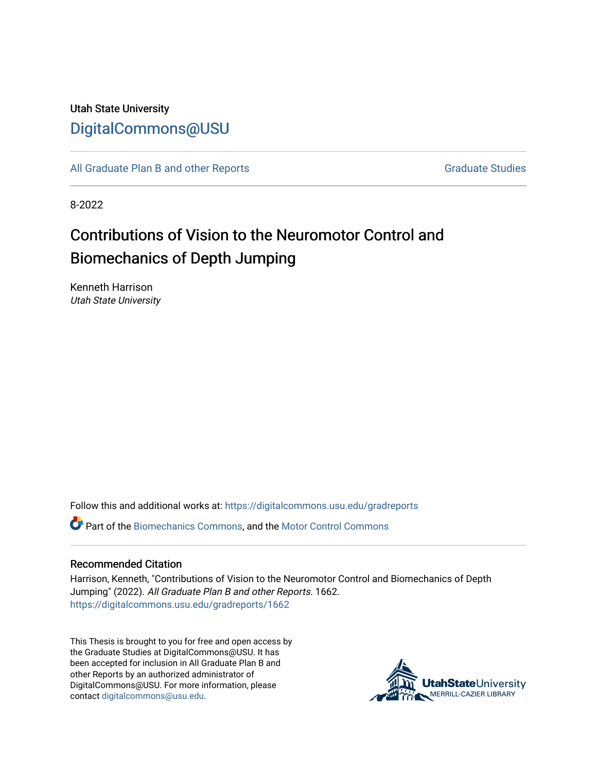## Utah State University [DigitalCommons@USU](https://digitalcommons.usu.edu/)

[All Graduate Plan B and other Reports](https://digitalcommons.usu.edu/gradreports) **Graduate Studies** Graduate Studies

8-2022

# Contributions of Vision to the Neuromotor Control and Biomechanics of Depth Jumping

Kenneth Harrison Utah State University

Follow this and additional works at: [https://digitalcommons.usu.edu/gradreports](https://digitalcommons.usu.edu/gradreports?utm_source=digitalcommons.usu.edu%2Fgradreports%2F1662&utm_medium=PDF&utm_campaign=PDFCoverPages)

**C** Part of the [Biomechanics Commons,](https://network.bepress.com/hgg/discipline/43?utm_source=digitalcommons.usu.edu%2Fgradreports%2F1662&utm_medium=PDF&utm_campaign=PDFCoverPages) and the Motor Control Commons

#### Recommended Citation

Harrison, Kenneth, "Contributions of Vision to the Neuromotor Control and Biomechanics of Depth Jumping" (2022). All Graduate Plan B and other Reports. 1662. [https://digitalcommons.usu.edu/gradreports/1662](https://digitalcommons.usu.edu/gradreports/1662?utm_source=digitalcommons.usu.edu%2Fgradreports%2F1662&utm_medium=PDF&utm_campaign=PDFCoverPages) 

This Thesis is brought to you for free and open access by the Graduate Studies at DigitalCommons@USU. It has been accepted for inclusion in All Graduate Plan B and other Reports by an authorized administrator of DigitalCommons@USU. For more information, please contact [digitalcommons@usu.edu](mailto:digitalcommons@usu.edu).

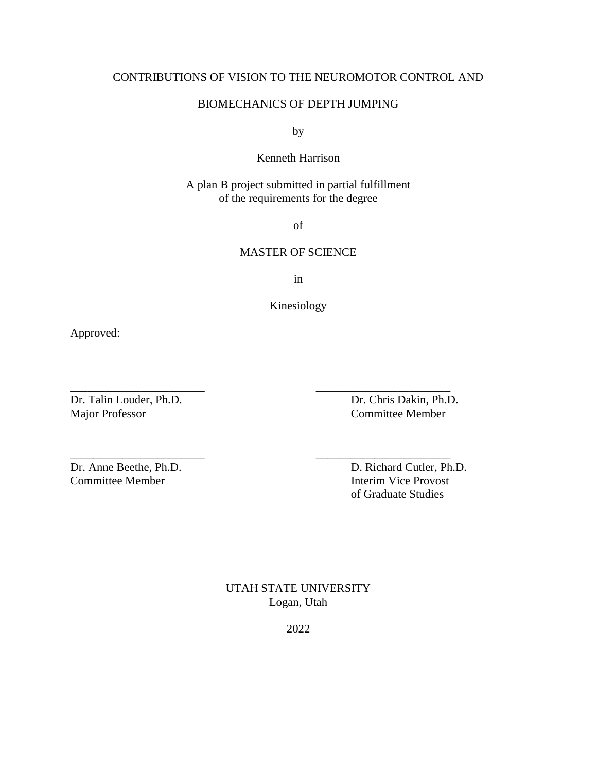## CONTRIBUTIONS OF VISION TO THE NEUROMOTOR CONTROL AND

## BIOMECHANICS OF DEPTH JUMPING

by

## Kenneth Harrison

A plan B project submitted in partial fulfillment of the requirements for the degree

of

## MASTER OF SCIENCE

in

Kinesiology

\_\_\_\_\_\_\_\_\_\_\_\_\_\_\_\_\_\_\_\_\_\_\_ \_\_\_\_\_\_\_\_\_\_\_\_\_\_\_\_\_\_\_\_\_\_\_

\_\_\_\_\_\_\_\_\_\_\_\_\_\_\_\_\_\_\_\_\_\_\_ \_\_\_\_\_\_\_\_\_\_\_\_\_\_\_\_\_\_\_\_\_\_\_

Approved:

Major Professor Committee Member

Dr. Talin Louder, Ph.D. Dr. Chris Dakin, Ph.D.

Committee Member **Interim Vice Provost** 

Dr. Anne Beethe, Ph.D. D. Richard Cutler, Ph.D. of Graduate Studies

> UTAH STATE UNIVERSITY Logan, Utah

> > 2022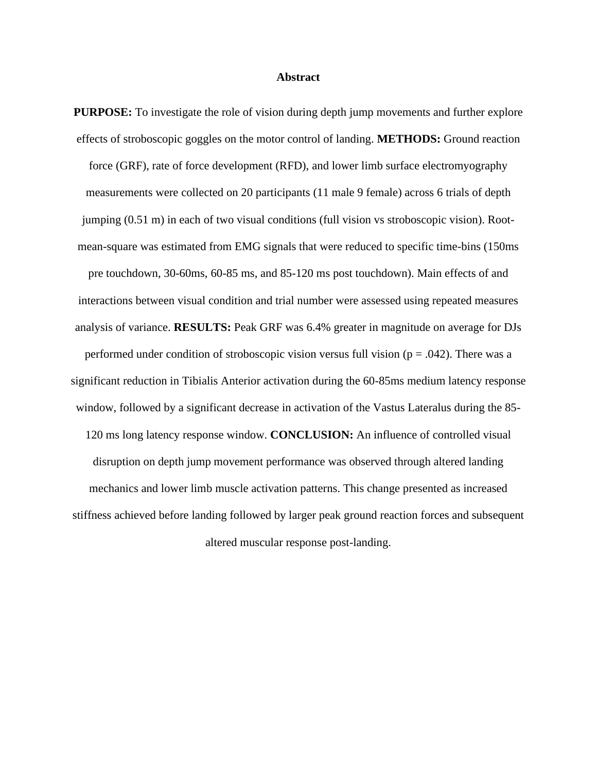#### **Abstract**

**PURPOSE:** To investigate the role of vision during depth jump movements and further explore effects of stroboscopic goggles on the motor control of landing. **METHODS:** Ground reaction force (GRF), rate of force development (RFD), and lower limb surface electromyography measurements were collected on 20 participants (11 male 9 female) across 6 trials of depth jumping (0.51 m) in each of two visual conditions (full vision vs stroboscopic vision). Rootmean-square was estimated from EMG signals that were reduced to specific time-bins (150ms pre touchdown, 30-60ms, 60-85 ms, and 85-120 ms post touchdown). Main effects of and interactions between visual condition and trial number were assessed using repeated measures analysis of variance. **RESULTS:** Peak GRF was 6.4% greater in magnitude on average for DJs performed under condition of stroboscopic vision versus full vision ( $p = .042$ ). There was a significant reduction in Tibialis Anterior activation during the 60-85ms medium latency response window, followed by a significant decrease in activation of the Vastus Lateralus during the 85- 120 ms long latency response window. **CONCLUSION:** An influence of controlled visual disruption on depth jump movement performance was observed through altered landing mechanics and lower limb muscle activation patterns. This change presented as increased stiffness achieved before landing followed by larger peak ground reaction forces and subsequent altered muscular response post-landing.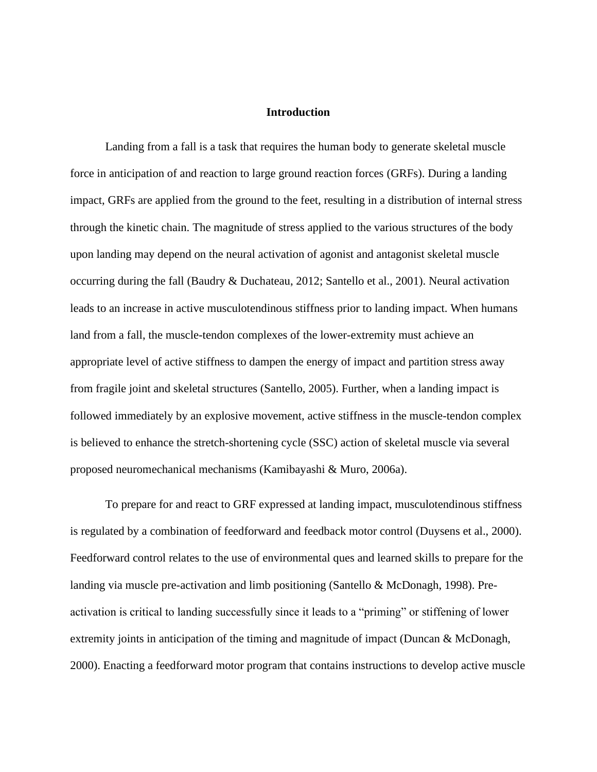#### **Introduction**

Landing from a fall is a task that requires the human body to generate skeletal muscle force in anticipation of and reaction to large ground reaction forces (GRFs). During a landing impact, GRFs are applied from the ground to the feet, resulting in a distribution of internal stress through the kinetic chain. The magnitude of stress applied to the various structures of the body upon landing may depend on the neural activation of agonist and antagonist skeletal muscle occurring during the fall (Baudry & Duchateau, 2012; Santello et al., 2001). Neural activation leads to an increase in active musculotendinous stiffness prior to landing impact. When humans land from a fall, the muscle-tendon complexes of the lower-extremity must achieve an appropriate level of active stiffness to dampen the energy of impact and partition stress away from fragile joint and skeletal structures (Santello, 2005). Further, when a landing impact is followed immediately by an explosive movement, active stiffness in the muscle-tendon complex is believed to enhance the stretch-shortening cycle (SSC) action of skeletal muscle via several proposed neuromechanical mechanisms (Kamibayashi & Muro, 2006a).

To prepare for and react to GRF expressed at landing impact, musculotendinous stiffness is regulated by a combination of feedforward and feedback motor control (Duysens et al., 2000). Feedforward control relates to the use of environmental ques and learned skills to prepare for the landing via muscle pre-activation and limb positioning (Santello & McDonagh, 1998). Preactivation is critical to landing successfully since it leads to a "priming" or stiffening of lower extremity joints in anticipation of the timing and magnitude of impact (Duncan & McDonagh, 2000). Enacting a feedforward motor program that contains instructions to develop active muscle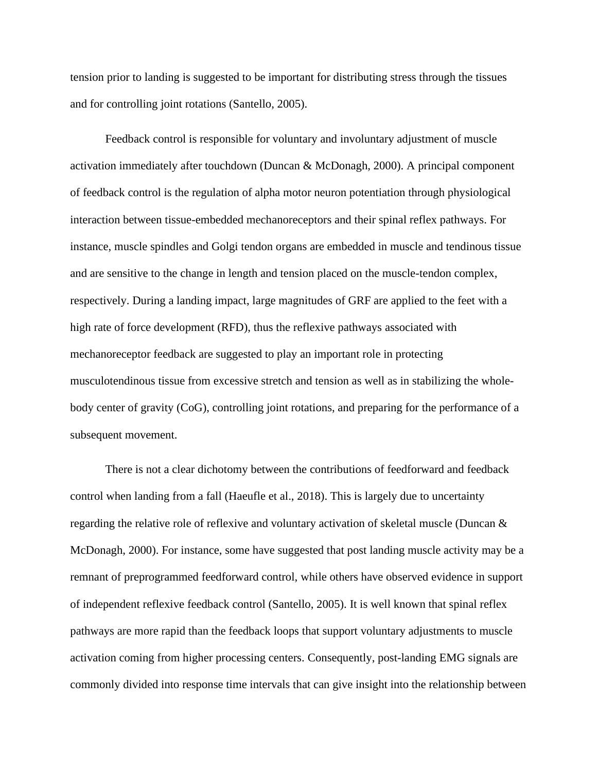tension prior to landing is suggested to be important for distributing stress through the tissues and for controlling joint rotations (Santello, 2005).

Feedback control is responsible for voluntary and involuntary adjustment of muscle activation immediately after touchdown (Duncan & McDonagh, 2000). A principal component of feedback control is the regulation of alpha motor neuron potentiation through physiological interaction between tissue-embedded mechanoreceptors and their spinal reflex pathways. For instance, muscle spindles and Golgi tendon organs are embedded in muscle and tendinous tissue and are sensitive to the change in length and tension placed on the muscle-tendon complex, respectively. During a landing impact, large magnitudes of GRF are applied to the feet with a high rate of force development (RFD), thus the reflexive pathways associated with mechanoreceptor feedback are suggested to play an important role in protecting musculotendinous tissue from excessive stretch and tension as well as in stabilizing the wholebody center of gravity (CoG), controlling joint rotations, and preparing for the performance of a subsequent movement.

There is not a clear dichotomy between the contributions of feedforward and feedback control when landing from a fall (Haeufle et al., 2018). This is largely due to uncertainty regarding the relative role of reflexive and voluntary activation of skeletal muscle (Duncan & McDonagh, 2000). For instance, some have suggested that post landing muscle activity may be a remnant of preprogrammed feedforward control, while others have observed evidence in support of independent reflexive feedback control (Santello, 2005). It is well known that spinal reflex pathways are more rapid than the feedback loops that support voluntary adjustments to muscle activation coming from higher processing centers. Consequently, post-landing EMG signals are commonly divided into response time intervals that can give insight into the relationship between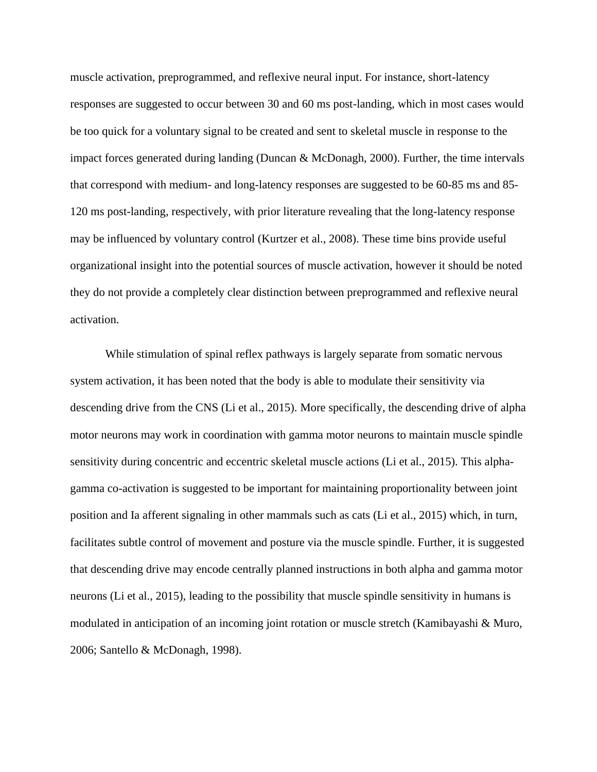muscle activation, preprogrammed, and reflexive neural input. For instance, short-latency responses are suggested to occur between 30 and 60 ms post-landing, which in most cases would be too quick for a voluntary signal to be created and sent to skeletal muscle in response to the impact forces generated during landing (Duncan & McDonagh, 2000). Further, the time intervals that correspond with medium- and long-latency responses are suggested to be 60-85 ms and 85- 120 ms post-landing, respectively, with prior literature revealing that the long-latency response may be influenced by voluntary control (Kurtzer et al., 2008). These time bins provide useful organizational insight into the potential sources of muscle activation, however it should be noted they do not provide a completely clear distinction between preprogrammed and reflexive neural activation.

While stimulation of spinal reflex pathways is largely separate from somatic nervous system activation, it has been noted that the body is able to modulate their sensitivity via descending drive from the CNS (Li et al., 2015). More specifically, the descending drive of alpha motor neurons may work in coordination with gamma motor neurons to maintain muscle spindle sensitivity during concentric and eccentric skeletal muscle actions (Li et al., 2015). This alphagamma co-activation is suggested to be important for maintaining proportionality between joint position and Ia afferent signaling in other mammals such as cats (Li et al., 2015) which, in turn, facilitates subtle control of movement and posture via the muscle spindle. Further, it is suggested that descending drive may encode centrally planned instructions in both alpha and gamma motor neurons (Li et al., 2015), leading to the possibility that muscle spindle sensitivity in humans is modulated in anticipation of an incoming joint rotation or muscle stretch (Kamibayashi & Muro, 2006; Santello & McDonagh, 1998).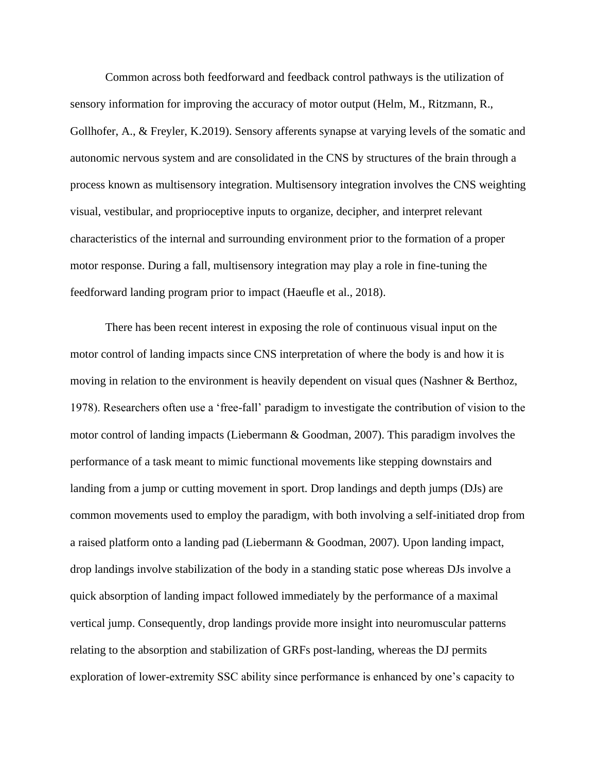Common across both feedforward and feedback control pathways is the utilization of sensory information for improving the accuracy of motor output (Helm, M., Ritzmann, R., Gollhofer, A., & Freyler, K.2019). Sensory afferents synapse at varying levels of the somatic and autonomic nervous system and are consolidated in the CNS by structures of the brain through a process known as multisensory integration. Multisensory integration involves the CNS weighting visual, vestibular, and proprioceptive inputs to organize, decipher, and interpret relevant characteristics of the internal and surrounding environment prior to the formation of a proper motor response. During a fall, multisensory integration may play a role in fine-tuning the feedforward landing program prior to impact (Haeufle et al., 2018).

There has been recent interest in exposing the role of continuous visual input on the motor control of landing impacts since CNS interpretation of where the body is and how it is moving in relation to the environment is heavily dependent on visual ques (Nashner & Berthoz, 1978). Researchers often use a 'free-fall' paradigm to investigate the contribution of vision to the motor control of landing impacts (Liebermann & Goodman, 2007). This paradigm involves the performance of a task meant to mimic functional movements like stepping downstairs and landing from a jump or cutting movement in sport. Drop landings and depth jumps (DJs) are common movements used to employ the paradigm, with both involving a self-initiated drop from a raised platform onto a landing pad (Liebermann & Goodman, 2007). Upon landing impact, drop landings involve stabilization of the body in a standing static pose whereas DJs involve a quick absorption of landing impact followed immediately by the performance of a maximal vertical jump. Consequently, drop landings provide more insight into neuromuscular patterns relating to the absorption and stabilization of GRFs post-landing, whereas the DJ permits exploration of lower-extremity SSC ability since performance is enhanced by one's capacity to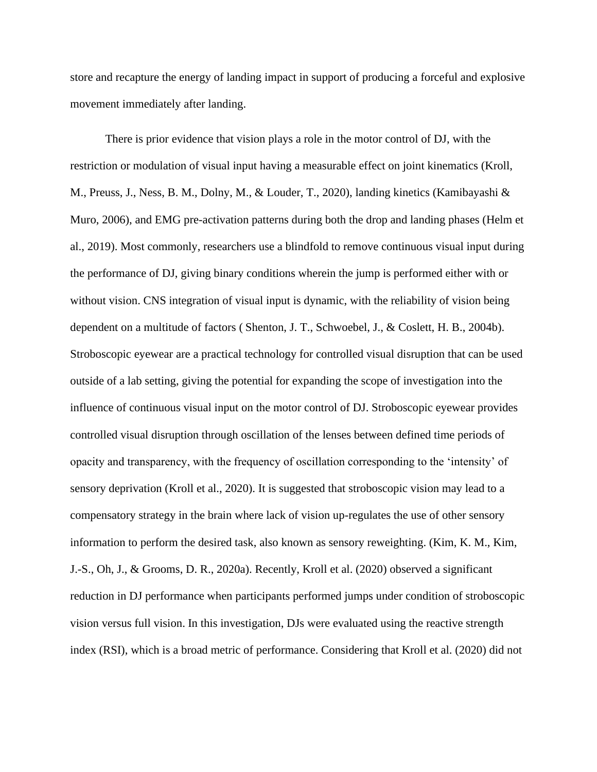store and recapture the energy of landing impact in support of producing a forceful and explosive movement immediately after landing.

There is prior evidence that vision plays a role in the motor control of DJ, with the restriction or modulation of visual input having a measurable effect on joint kinematics (Kroll, M., Preuss, J., Ness, B. M., Dolny, M., & Louder, T., 2020), landing kinetics (Kamibayashi & Muro, 2006), and EMG pre-activation patterns during both the drop and landing phases (Helm et al., 2019). Most commonly, researchers use a blindfold to remove continuous visual input during the performance of DJ, giving binary conditions wherein the jump is performed either with or without vision. CNS integration of visual input is dynamic, with the reliability of vision being dependent on a multitude of factors ( Shenton, J. T., Schwoebel, J., & Coslett, H. B., 2004b). Stroboscopic eyewear are a practical technology for controlled visual disruption that can be used outside of a lab setting, giving the potential for expanding the scope of investigation into the influence of continuous visual input on the motor control of DJ. Stroboscopic eyewear provides controlled visual disruption through oscillation of the lenses between defined time periods of opacity and transparency, with the frequency of oscillation corresponding to the 'intensity' of sensory deprivation (Kroll et al., 2020). It is suggested that stroboscopic vision may lead to a compensatory strategy in the brain where lack of vision up-regulates the use of other sensory information to perform the desired task, also known as sensory reweighting. (Kim, K. M., Kim, J.-S., Oh, J., & Grooms, D. R., 2020a). Recently, Kroll et al. (2020) observed a significant reduction in DJ performance when participants performed jumps under condition of stroboscopic vision versus full vision. In this investigation, DJs were evaluated using the reactive strength index (RSI), which is a broad metric of performance. Considering that Kroll et al. (2020) did not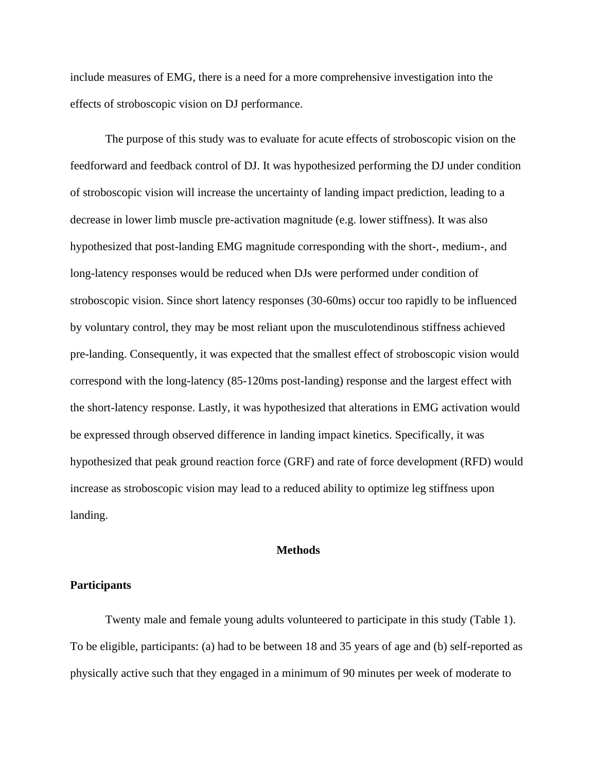include measures of EMG, there is a need for a more comprehensive investigation into the effects of stroboscopic vision on DJ performance.

The purpose of this study was to evaluate for acute effects of stroboscopic vision on the feedforward and feedback control of DJ. It was hypothesized performing the DJ under condition of stroboscopic vision will increase the uncertainty of landing impact prediction, leading to a decrease in lower limb muscle pre-activation magnitude (e.g. lower stiffness). It was also hypothesized that post-landing EMG magnitude corresponding with the short-, medium-, and long-latency responses would be reduced when DJs were performed under condition of stroboscopic vision. Since short latency responses (30-60ms) occur too rapidly to be influenced by voluntary control, they may be most reliant upon the musculotendinous stiffness achieved pre-landing. Consequently, it was expected that the smallest effect of stroboscopic vision would correspond with the long-latency (85-120ms post-landing) response and the largest effect with the short-latency response. Lastly, it was hypothesized that alterations in EMG activation would be expressed through observed difference in landing impact kinetics. Specifically, it was hypothesized that peak ground reaction force (GRF) and rate of force development (RFD) would increase as stroboscopic vision may lead to a reduced ability to optimize leg stiffness upon landing.

#### **Methods**

#### **Participants**

Twenty male and female young adults volunteered to participate in this study (Table 1). To be eligible, participants: (a) had to be between 18 and 35 years of age and (b) self-reported as physically active such that they engaged in a minimum of 90 minutes per week of moderate to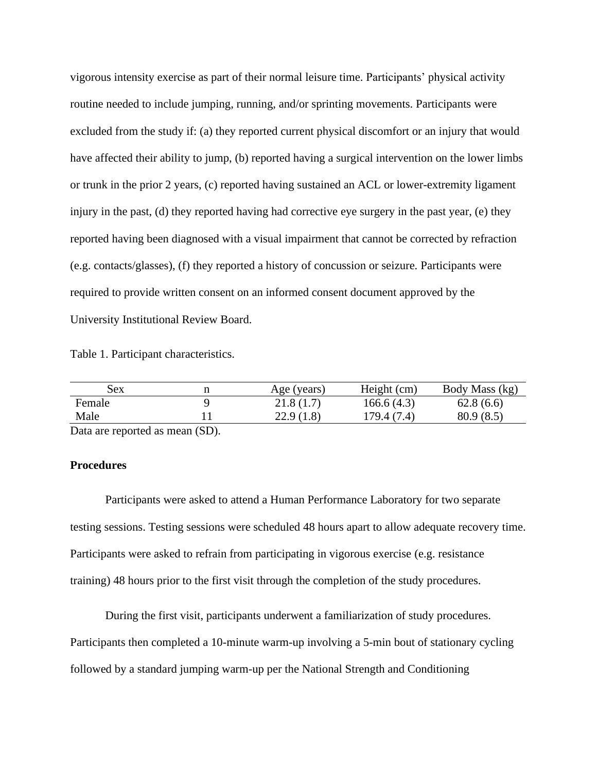vigorous intensity exercise as part of their normal leisure time. Participants' physical activity routine needed to include jumping, running, and/or sprinting movements. Participants were excluded from the study if: (a) they reported current physical discomfort or an injury that would have affected their ability to jump, (b) reported having a surgical intervention on the lower limbs or trunk in the prior 2 years, (c) reported having sustained an ACL or lower-extremity ligament injury in the past, (d) they reported having had corrective eye surgery in the past year, (e) they reported having been diagnosed with a visual impairment that cannot be corrected by refraction (e.g. contacts/glasses), (f) they reported a history of concussion or seizure. Participants were required to provide written consent on an informed consent document approved by the University Institutional Review Board.

Table 1. Participant characteristics.

| Sex    | п | Age (years) | Height (cm) | Body Mass (kg) |
|--------|---|-------------|-------------|----------------|
| Female |   | 21.8(1.7)   | 166.6(4.3)  | 62.8(6.6)      |
| Male   |   | 22.9(1.8)   | 179.4 (7.4) | 80.9(8.5)      |
|        |   |             |             |                |

Data are reported as mean (SD).

#### **Procedures**

Participants were asked to attend a Human Performance Laboratory for two separate testing sessions. Testing sessions were scheduled 48 hours apart to allow adequate recovery time. Participants were asked to refrain from participating in vigorous exercise (e.g. resistance training) 48 hours prior to the first visit through the completion of the study procedures.

During the first visit, participants underwent a familiarization of study procedures. Participants then completed a 10-minute warm-up involving a 5-min bout of stationary cycling followed by a standard jumping warm-up per the National Strength and Conditioning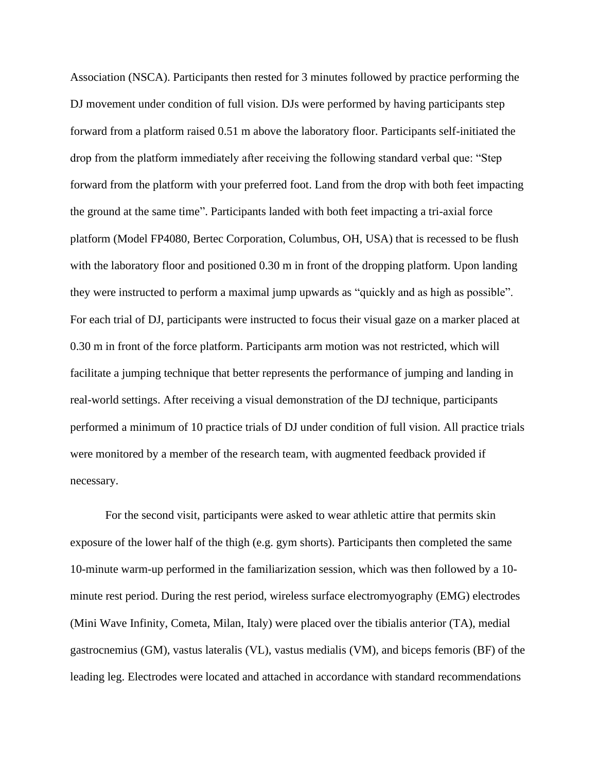Association (NSCA). Participants then rested for 3 minutes followed by practice performing the DJ movement under condition of full vision. DJs were performed by having participants step forward from a platform raised 0.51 m above the laboratory floor. Participants self-initiated the drop from the platform immediately after receiving the following standard verbal que: "Step forward from the platform with your preferred foot. Land from the drop with both feet impacting the ground at the same time". Participants landed with both feet impacting a tri-axial force platform (Model FP4080, Bertec Corporation, Columbus, OH, USA) that is recessed to be flush with the laboratory floor and positioned 0.30 m in front of the dropping platform. Upon landing they were instructed to perform a maximal jump upwards as "quickly and as high as possible". For each trial of DJ, participants were instructed to focus their visual gaze on a marker placed at 0.30 m in front of the force platform. Participants arm motion was not restricted, which will facilitate a jumping technique that better represents the performance of jumping and landing in real-world settings. After receiving a visual demonstration of the DJ technique, participants performed a minimum of 10 practice trials of DJ under condition of full vision. All practice trials were monitored by a member of the research team, with augmented feedback provided if necessary.

For the second visit, participants were asked to wear athletic attire that permits skin exposure of the lower half of the thigh (e.g. gym shorts). Participants then completed the same 10-minute warm-up performed in the familiarization session, which was then followed by a 10 minute rest period. During the rest period, wireless surface electromyography (EMG) electrodes (Mini Wave Infinity, Cometa, Milan, Italy) were placed over the tibialis anterior (TA), medial gastrocnemius (GM), vastus lateralis (VL), vastus medialis (VM), and biceps femoris (BF) of the leading leg. Electrodes were located and attached in accordance with standard recommendations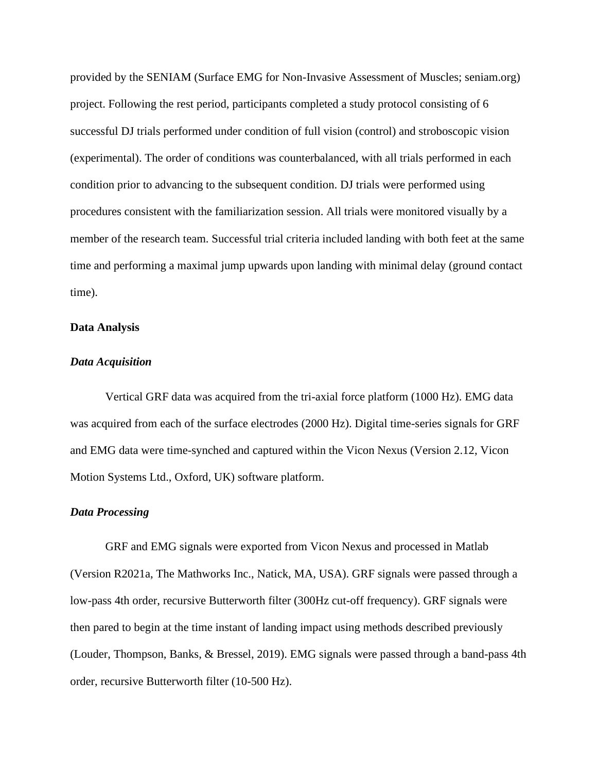provided by the SENIAM (Surface EMG for Non-Invasive Assessment of Muscles; seniam.org) project. Following the rest period, participants completed a study protocol consisting of 6 successful DJ trials performed under condition of full vision (control) and stroboscopic vision (experimental). The order of conditions was counterbalanced, with all trials performed in each condition prior to advancing to the subsequent condition. DJ trials were performed using procedures consistent with the familiarization session. All trials were monitored visually by a member of the research team. Successful trial criteria included landing with both feet at the same time and performing a maximal jump upwards upon landing with minimal delay (ground contact time).

#### **Data Analysis**

#### *Data Acquisition*

Vertical GRF data was acquired from the tri-axial force platform (1000 Hz). EMG data was acquired from each of the surface electrodes (2000 Hz). Digital time-series signals for GRF and EMG data were time-synched and captured within the Vicon Nexus (Version 2.12, Vicon Motion Systems Ltd., Oxford, UK) software platform.

#### *Data Processing*

GRF and EMG signals were exported from Vicon Nexus and processed in Matlab (Version R2021a, The Mathworks Inc., Natick, MA, USA). GRF signals were passed through a low-pass 4th order, recursive Butterworth filter (300Hz cut-off frequency). GRF signals were then pared to begin at the time instant of landing impact using methods described previously (Louder, Thompson, Banks, & Bressel, 2019). EMG signals were passed through a band-pass 4th order, recursive Butterworth filter (10-500 Hz).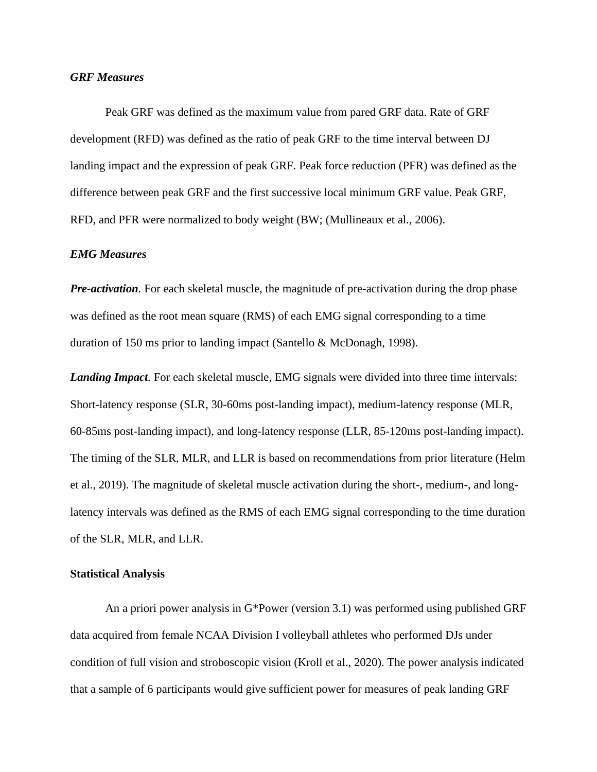#### *GRF Measures*

Peak GRF was defined as the maximum value from pared GRF data. Rate of GRF development (RFD) was defined as the ratio of peak GRF to the time interval between DJ landing impact and the expression of peak GRF. Peak force reduction (PFR) was defined as the difference between peak GRF and the first successive local minimum GRF value. Peak GRF, RFD, and PFR were normalized to body weight (BW; (Mullineaux et al., 2006).

#### *EMG Measures*

*Pre-activation*. For each skeletal muscle, the magnitude of pre-activation during the drop phase was defined as the root mean square (RMS) of each EMG signal corresponding to a time duration of 150 ms prior to landing impact (Santello & McDonagh, 1998).

*Landing Impact.* For each skeletal muscle, EMG signals were divided into three time intervals: Short-latency response (SLR, 30-60ms post-landing impact), medium-latency response (MLR, 60-85ms post-landing impact), and long-latency response (LLR, 85-120ms post-landing impact). The timing of the SLR, MLR, and LLR is based on recommendations from prior literature (Helm et al., 2019). The magnitude of skeletal muscle activation during the short-, medium-, and longlatency intervals was defined as the RMS of each EMG signal corresponding to the time duration of the SLR, MLR, and LLR.

#### **Statistical Analysis**

An a priori power analysis in G\*Power (version 3.1) was performed using published GRF data acquired from female NCAA Division I volleyball athletes who performed DJs under condition of full vision and stroboscopic vision (Kroll et al., 2020). The power analysis indicated that a sample of 6 participants would give sufficient power for measures of peak landing GRF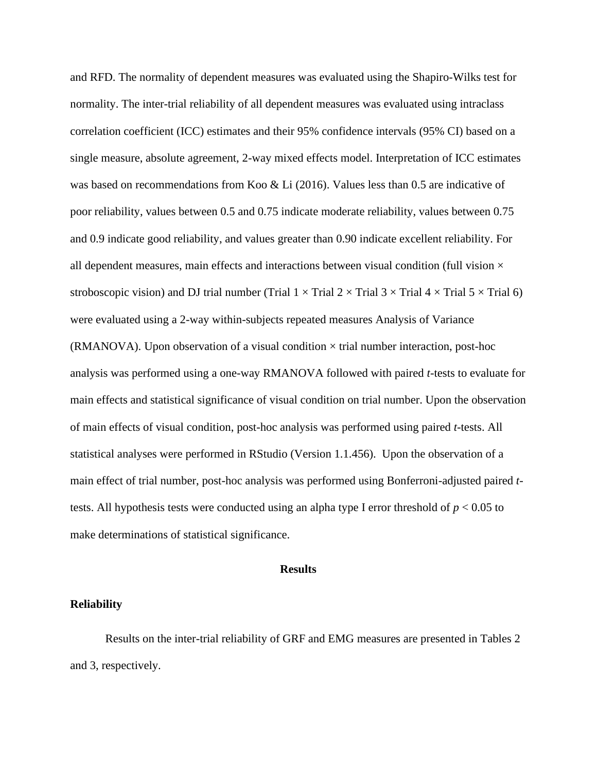and RFD. The normality of dependent measures was evaluated using the Shapiro-Wilks test for normality. The inter-trial reliability of all dependent measures was evaluated using intraclass correlation coefficient (ICC) estimates and their 95% confidence intervals (95% CI) based on a single measure, absolute agreement, 2-way mixed effects model. Interpretation of ICC estimates was based on recommendations from Koo & Li (2016). Values less than 0.5 are indicative of poor reliability, values between 0.5 and 0.75 indicate moderate reliability, values between 0.75 and 0.9 indicate good reliability, and values greater than 0.90 indicate excellent reliability. For all dependent measures, main effects and interactions between visual condition (full vision  $\times$ stroboscopic vision) and DJ trial number (Trial  $1 \times$  Trial  $2 \times$  Trial  $3 \times$  Trial  $4 \times$  Trial  $5 \times$  Trial 6) were evaluated using a 2-way within-subjects repeated measures Analysis of Variance (RMANOVA). Upon observation of a visual condition  $\times$  trial number interaction, post-hoc analysis was performed using a one-way RMANOVA followed with paired *t*-tests to evaluate for main effects and statistical significance of visual condition on trial number. Upon the observation of main effects of visual condition, post-hoc analysis was performed using paired *t*-tests. All statistical analyses were performed in RStudio (Version 1.1.456). Upon the observation of a main effect of trial number, post-hoc analysis was performed using Bonferroni-adjusted paired *t*tests. All hypothesis tests were conducted using an alpha type I error threshold of *p* < 0.05 to make determinations of statistical significance.

#### **Results**

#### **Reliability**

Results on the inter-trial reliability of GRF and EMG measures are presented in Tables 2 and 3, respectively.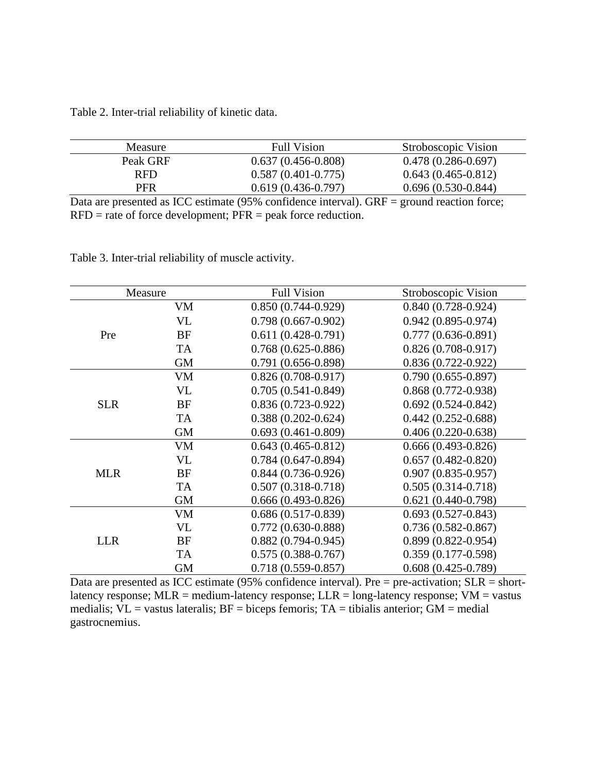Table 2. Inter-trial reliability of kinetic data.

| Measure  | <b>Full Vision</b>     | Stroboscopic Vision  |
|----------|------------------------|----------------------|
| Peak GRF | $0.637(0.456-0.808)$   | $0.478(0.286-0.697)$ |
| RFD.     | $0.587(0.401 - 0.775)$ | $0.643(0.465-0.812)$ |
| PFR      | $0.619(0.436-0.797)$   | $0.696(0.530-0.844)$ |

Data are presented as ICC estimate (95% confidence interval). GRF = ground reaction force;  $RFD = rate of force development; PFR = peak force reduction.$ 

Table 3. Inter-trial reliability of muscle activity.

| Measure    |           | <b>Full Vision</b>     | Stroboscopic Vision    |
|------------|-----------|------------------------|------------------------|
|            | <b>VM</b> | $0.850(0.744-0.929)$   | $0.840(0.728-0.924)$   |
|            | VL        | $0.798(0.667-0.902)$   | $0.942(0.895 - 0.974)$ |
| Pre        | <b>BF</b> | $0.611(0.428-0.791)$   | $0.777(0.636-0.891)$   |
|            | <b>TA</b> | $0.768(0.625-0.886)$   | $0.826(0.708-0.917)$   |
|            | <b>GM</b> | $0.791(0.656-0.898)$   | $0.836(0.722 - 0.922)$ |
|            | <b>VM</b> | $0.826(0.708-0.917)$   | $0.790(0.655 - 0.897)$ |
|            | <b>VL</b> | $0.705(0.541-0.849)$   | $0.868(0.772-0.938)$   |
| <b>SLR</b> | <b>BF</b> | $0.836(0.723-0.922)$   | $0.692(0.524 - 0.842)$ |
|            | <b>TA</b> | $0.388(0.202 - 0.624)$ | $0.442(0.252 - 0.688)$ |
|            | <b>GM</b> | $0.693(0.461 - 0.809)$ | $0.406(0.220-0.638)$   |
| <b>MLR</b> | <b>VM</b> | $0.643(0.465 - 0.812)$ | $0.666(0.493-0.826)$   |
|            | <b>VL</b> | $0.784(0.647-0.894)$   | $0.657(0.482 - 0.820)$ |
|            | BF        | $0.844(0.736-0.926)$   | $0.907(0.835 - 0.957)$ |
|            | <b>TA</b> | $0.507(0.318-0.718)$   | $0.505(0.314 - 0.718)$ |
|            | <b>GM</b> | $0.666(0.493-0.826)$   | $0.621(0.440-0.798)$   |
| <b>LLR</b> | VM        | $0.686(0.517-0.839)$   | $0.693(0.527-0.843)$   |
|            | <b>VL</b> | $0.772(0.630-0.888)$   | $0.736(0.582 - 0.867)$ |
|            | BF        | $0.882(0.794 - 0.945)$ | $0.899(0.822 - 0.954)$ |
|            | <b>TA</b> | $0.575(0.388 - 0.767)$ | $0.359(0.177-0.598)$   |
|            | <b>GM</b> | $0.718(0.559 - 0.857)$ | $0.608(0.425-0.789)$   |

Data are presented as ICC estimate (95% confidence interval). Pre = pre-activation;  $SLR = short$ latency response;  $MLR$  = medium-latency response;  $LLR$  = long-latency response;  $VM$  = vastus medialis;  $VL = v$  vastus lateralis;  $BF =$  biceps femoris;  $TA =$  tibialis anterior;  $GM =$  medial gastrocnemius.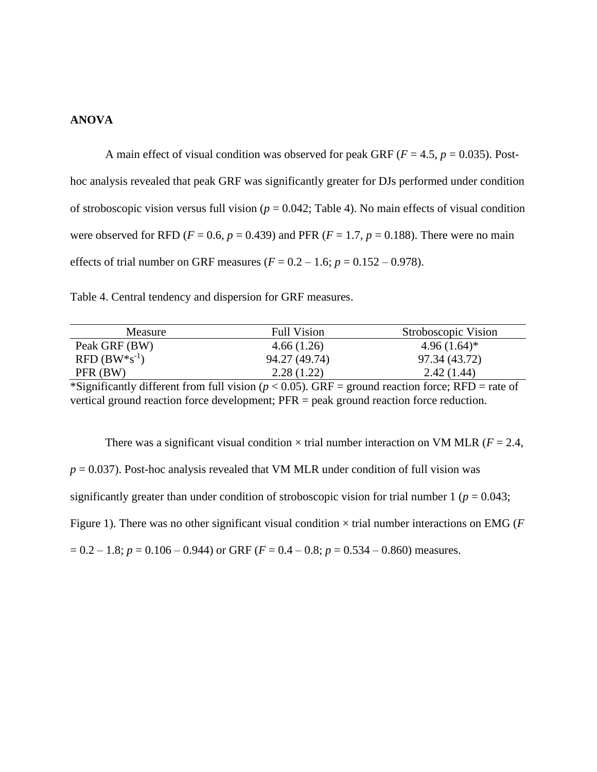## **ANOVA**

A main effect of visual condition was observed for peak GRF ( $F = 4.5$ ,  $p = 0.035$ ). Posthoc analysis revealed that peak GRF was significantly greater for DJs performed under condition of stroboscopic vision versus full vision ( $p = 0.042$ ; Table 4). No main effects of visual condition were observed for RFD ( $F = 0.6$ ,  $p = 0.439$ ) and PFR ( $F = 1.7$ ,  $p = 0.188$ ). There were no main effects of trial number on GRF measures ( $F = 0.2 - 1.6$ ;  $p = 0.152 - 0.978$ ).

|  |  |  |  |  |  |  |  |  |  | Table 4. Central tendency and dispersion for GRF measures. |
|--|--|--|--|--|--|--|--|--|--|------------------------------------------------------------|
|--|--|--|--|--|--|--|--|--|--|------------------------------------------------------------|

| Measure          | <b>Full Vision</b> | Stroboscopic Vision |
|------------------|--------------------|---------------------|
| Peak GRF (BW)    | 4.66(1.26)         | $4.96(1.64)^*$      |
| $RFD(BW*s^{-1})$ | 94.27 (49.74)      | 97.34 (43.72)       |
| PFR (BW)         | 2.28(1.22)         | 2.42(1.44)          |

\*Significantly different from full vision ( $p < 0.05$ ). GRF = ground reaction force; RFD = rate of vertical ground reaction force development; PFR = peak ground reaction force reduction.

There was a significant visual condition  $\times$  trial number interaction on VM MLR ( $F = 2.4$ ,  $p = 0.037$ ). Post-hoc analysis revealed that VM MLR under condition of full vision was significantly greater than under condition of stroboscopic vision for trial number  $1 (p = 0.043;$ Figure 1). There was no other significant visual condition × trial number interactions on EMG (*F*   $= 0.2 - 1.8$ ;  $p = 0.106 - 0.944$ ) or GRF ( $F = 0.4 - 0.8$ ;  $p = 0.534 - 0.860$ ) measures.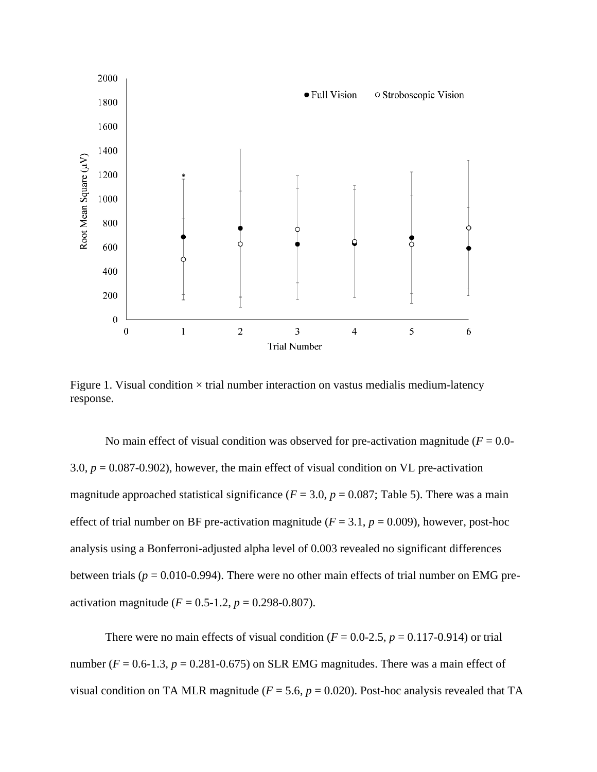

Figure 1. Visual condition  $\times$  trial number interaction on vastus medialis medium-latency response.

No main effect of visual condition was observed for pre-activation magnitude  $(F = 0.0$ -3.0,  $p = 0.087 - 0.902$ ), however, the main effect of visual condition on VL pre-activation magnitude approached statistical significance ( $F = 3.0$ ,  $p = 0.087$ ; Table 5). There was a main effect of trial number on BF pre-activation magnitude ( $F = 3.1$ ,  $p = 0.009$ ), however, post-hoc analysis using a Bonferroni-adjusted alpha level of 0.003 revealed no significant differences between trials (*p* = 0.010-0.994). There were no other main effects of trial number on EMG preactivation magnitude  $(F = 0.5 - 1.2, p = 0.298 - 0.807)$ .

There were no main effects of visual condition ( $F = 0.0$ -2.5,  $p = 0.117$ -0.914) or trial number  $(F = 0.6-1.3, p = 0.281-0.675)$  on SLR EMG magnitudes. There was a main effect of visual condition on TA MLR magnitude ( $F = 5.6$ ,  $p = 0.020$ ). Post-hoc analysis revealed that TA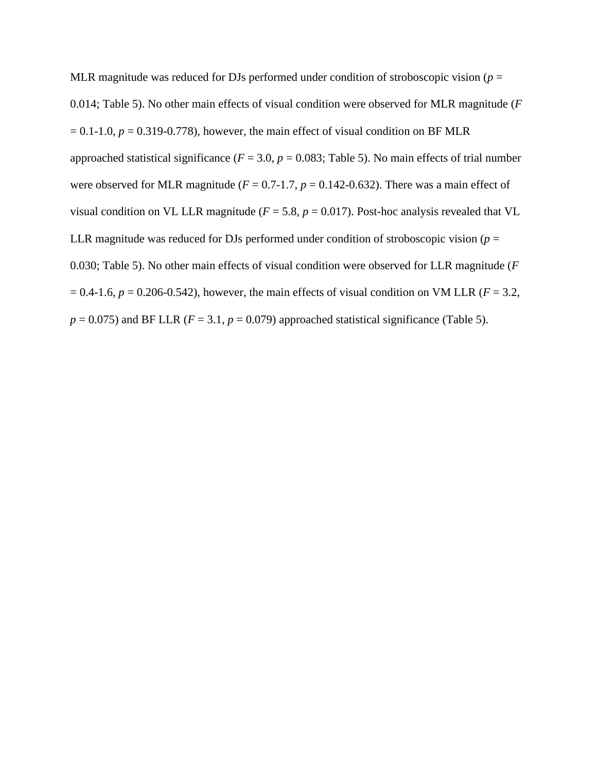MLR magnitude was reduced for DJs performed under condition of stroboscopic vision ( $p =$ 0.014; Table 5). No other main effects of visual condition were observed for MLR magnitude (*F*   $= 0.1$ -1.0,  $p = 0.319$ -0.778), however, the main effect of visual condition on BF MLR approached statistical significance ( $F = 3.0$ ,  $p = 0.083$ ; Table 5). No main effects of trial number were observed for MLR magnitude ( $F = 0.7-1.7$ ,  $p = 0.142-0.632$ ). There was a main effect of visual condition on VL LLR magnitude ( $F = 5.8$ ,  $p = 0.017$ ). Post-hoc analysis revealed that VL LLR magnitude was reduced for DJs performed under condition of stroboscopic vision ( $p =$ 0.030; Table 5). No other main effects of visual condition were observed for LLR magnitude (*F*   $= 0.4$ -1.6,  $p = 0.206$ -0.542), however, the main effects of visual condition on VM LLR ( $F = 3.2$ ,  $p = 0.075$ ) and BF LLR ( $F = 3.1$ ,  $p = 0.079$ ) approached statistical significance (Table 5).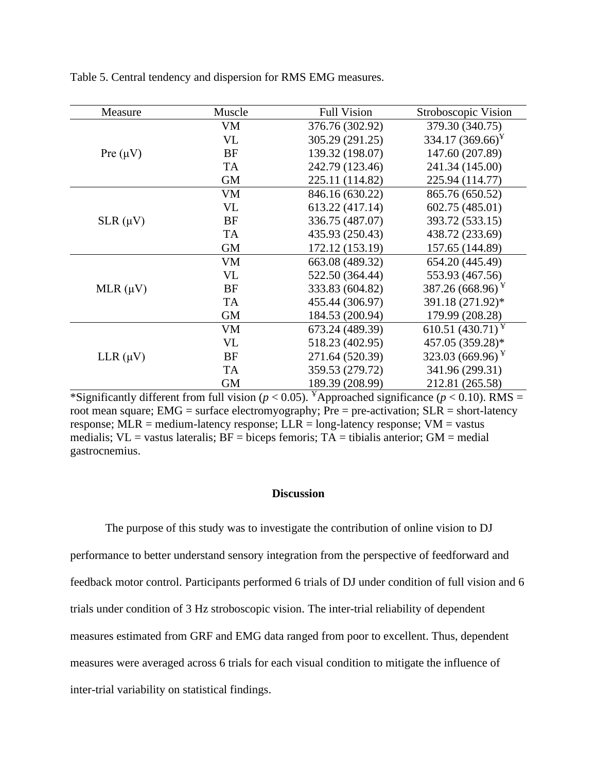| Measure       | Muscle    | <b>Full Vision</b> | Stroboscopic Vision   |
|---------------|-----------|--------------------|-----------------------|
|               | <b>VM</b> | 376.76 (302.92)    | 379.30 (340.75)       |
|               | <b>VL</b> | 305.29 (291.25)    | 334.17 $(369.66)^{Y}$ |
| Pre $(\mu V)$ | <b>BF</b> | 139.32 (198.07)    | 147.60 (207.89)       |
|               | <b>TA</b> | 242.79 (123.46)    | 241.34 (145.00)       |
|               | <b>GM</b> | 225.11 (114.82)    | 225.94 (114.77)       |
|               | VM        | 846.16 (630.22)    | 865.76 (650.52)       |
|               | <b>VL</b> | 613.22 (417.14)    | 602.75 (485.01)       |
| $SLR(\mu V)$  | <b>BF</b> | 336.75 (487.07)    | 393.72 (533.15)       |
|               | <b>TA</b> | 435.93 (250.43)    | 438.72 (233.69)       |
|               | <b>GM</b> | 172.12 (153.19)    | 157.65 (144.89)       |
|               | <b>VM</b> | 663.08 (489.32)    | 654.20 (445.49)       |
|               | <b>VL</b> | 522.50 (364.44)    | 553.93 (467.56)       |
| MLR $(\mu V)$ | BF        | 333.83 (604.82)    | 387.26 (668.96) $Y$   |
|               | <b>TA</b> | 455.44 (306.97)    | 391.18 (271.92)*      |
|               | <b>GM</b> | 184.53 (200.94)    | 179.99 (208.28)       |
|               | <b>VM</b> | 673.24 (489.39)    | 610.51 $(430.71)^Y$   |
|               | <b>VL</b> | 518.23 (402.95)    | 457.05 (359.28)*      |
| LLR $(\mu V)$ | <b>BF</b> | 271.64 (520.39)    | 323.03 (669.96) $Y$   |
|               | <b>TA</b> | 359.53 (279.72)    | 341.96 (299.31)       |
|               | <b>GM</b> | 189.39 (208.99)    | 212.81 (265.58)       |

Table 5. Central tendency and dispersion for RMS EMG measures.

\*Significantly different from full vision ( $p < 0.05$ ). <sup>¥</sup>Approached significance ( $p < 0.10$ ). RMS = root mean square; EMG = surface electromyography; Pre = pre-activation;  $SLR =$  short-latency response; MLR = medium-latency response; LLR = long-latency response;  $VM = vastus$ medialis;  $VL = v$  vastus lateralis;  $BF =$  biceps femoris;  $TA =$  tibialis anterior;  $GM =$  medial gastrocnemius.

#### **Discussion**

The purpose of this study was to investigate the contribution of online vision to DJ performance to better understand sensory integration from the perspective of feedforward and feedback motor control. Participants performed 6 trials of DJ under condition of full vision and 6 trials under condition of 3 Hz stroboscopic vision. The inter-trial reliability of dependent measures estimated from GRF and EMG data ranged from poor to excellent. Thus, dependent measures were averaged across 6 trials for each visual condition to mitigate the influence of inter-trial variability on statistical findings.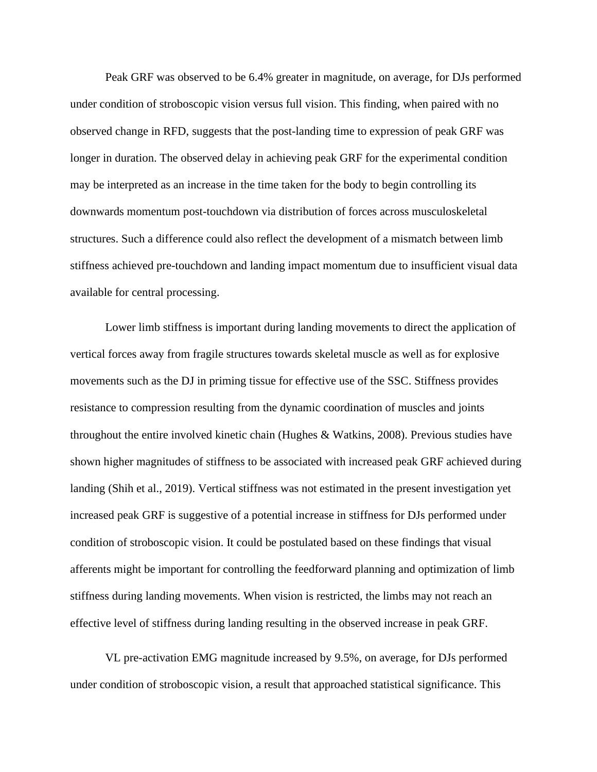Peak GRF was observed to be 6.4% greater in magnitude, on average, for DJs performed under condition of stroboscopic vision versus full vision. This finding, when paired with no observed change in RFD, suggests that the post-landing time to expression of peak GRF was longer in duration. The observed delay in achieving peak GRF for the experimental condition may be interpreted as an increase in the time taken for the body to begin controlling its downwards momentum post-touchdown via distribution of forces across musculoskeletal structures. Such a difference could also reflect the development of a mismatch between limb stiffness achieved pre-touchdown and landing impact momentum due to insufficient visual data available for central processing.

Lower limb stiffness is important during landing movements to direct the application of vertical forces away from fragile structures towards skeletal muscle as well as for explosive movements such as the DJ in priming tissue for effective use of the SSC. Stiffness provides resistance to compression resulting from the dynamic coordination of muscles and joints throughout the entire involved kinetic chain (Hughes & Watkins, 2008). Previous studies have shown higher magnitudes of stiffness to be associated with increased peak GRF achieved during landing (Shih et al., 2019). Vertical stiffness was not estimated in the present investigation yet increased peak GRF is suggestive of a potential increase in stiffness for DJs performed under condition of stroboscopic vision. It could be postulated based on these findings that visual afferents might be important for controlling the feedforward planning and optimization of limb stiffness during landing movements. When vision is restricted, the limbs may not reach an effective level of stiffness during landing resulting in the observed increase in peak GRF.

VL pre-activation EMG magnitude increased by 9.5%, on average, for DJs performed under condition of stroboscopic vision, a result that approached statistical significance. This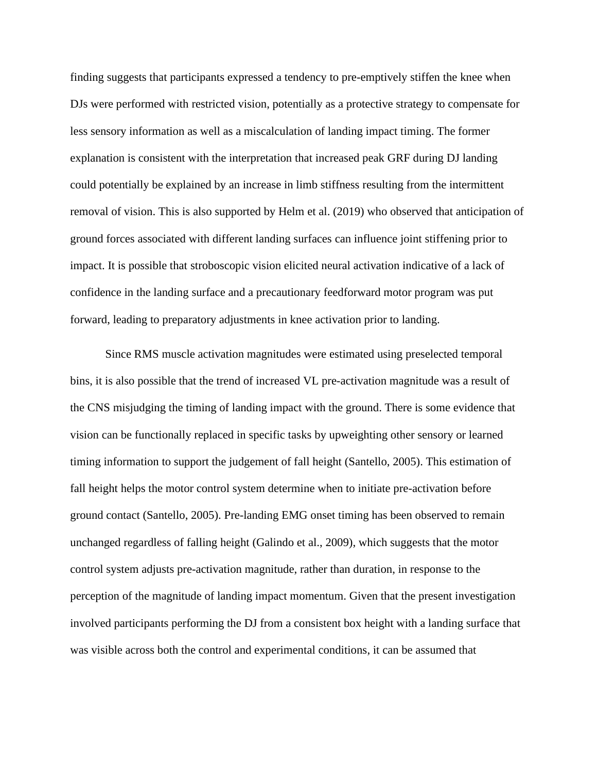finding suggests that participants expressed a tendency to pre-emptively stiffen the knee when DJs were performed with restricted vision, potentially as a protective strategy to compensate for less sensory information as well as a miscalculation of landing impact timing. The former explanation is consistent with the interpretation that increased peak GRF during DJ landing could potentially be explained by an increase in limb stiffness resulting from the intermittent removal of vision. This is also supported by Helm et al. (2019) who observed that anticipation of ground forces associated with different landing surfaces can influence joint stiffening prior to impact. It is possible that stroboscopic vision elicited neural activation indicative of a lack of confidence in the landing surface and a precautionary feedforward motor program was put forward, leading to preparatory adjustments in knee activation prior to landing.

Since RMS muscle activation magnitudes were estimated using preselected temporal bins, it is also possible that the trend of increased VL pre-activation magnitude was a result of the CNS misjudging the timing of landing impact with the ground. There is some evidence that vision can be functionally replaced in specific tasks by upweighting other sensory or learned timing information to support the judgement of fall height (Santello, 2005). This estimation of fall height helps the motor control system determine when to initiate pre-activation before ground contact (Santello, 2005). Pre-landing EMG onset timing has been observed to remain unchanged regardless of falling height (Galindo et al., 2009), which suggests that the motor control system adjusts pre-activation magnitude, rather than duration, in response to the perception of the magnitude of landing impact momentum. Given that the present investigation involved participants performing the DJ from a consistent box height with a landing surface that was visible across both the control and experimental conditions, it can be assumed that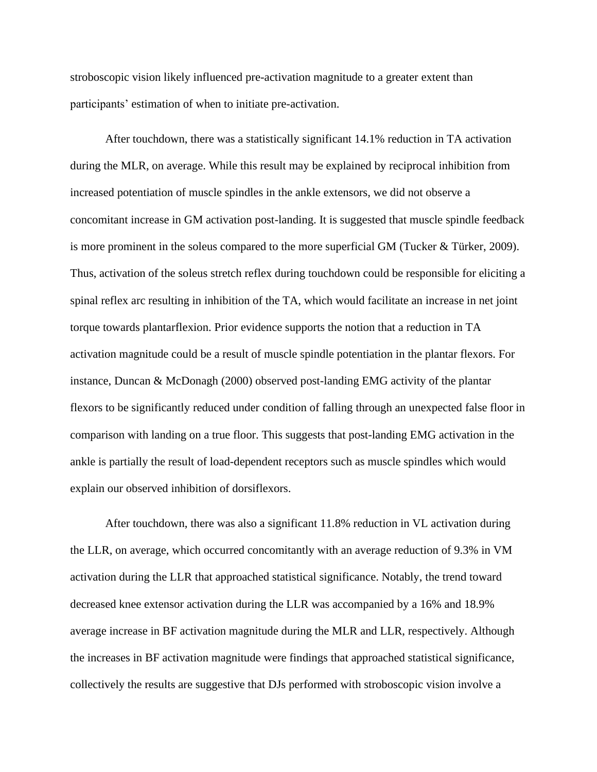stroboscopic vision likely influenced pre-activation magnitude to a greater extent than participants' estimation of when to initiate pre-activation.

After touchdown, there was a statistically significant 14.1% reduction in TA activation during the MLR, on average. While this result may be explained by reciprocal inhibition from increased potentiation of muscle spindles in the ankle extensors, we did not observe a concomitant increase in GM activation post-landing. It is suggested that muscle spindle feedback is more prominent in the soleus compared to the more superficial GM (Tucker & Türker, 2009). Thus, activation of the soleus stretch reflex during touchdown could be responsible for eliciting a spinal reflex arc resulting in inhibition of the TA, which would facilitate an increase in net joint torque towards plantarflexion. Prior evidence supports the notion that a reduction in TA activation magnitude could be a result of muscle spindle potentiation in the plantar flexors. For instance, Duncan & McDonagh (2000) observed post-landing EMG activity of the plantar flexors to be significantly reduced under condition of falling through an unexpected false floor in comparison with landing on a true floor. This suggests that post-landing EMG activation in the ankle is partially the result of load-dependent receptors such as muscle spindles which would explain our observed inhibition of dorsiflexors.

After touchdown, there was also a significant 11.8% reduction in VL activation during the LLR, on average, which occurred concomitantly with an average reduction of 9.3% in VM activation during the LLR that approached statistical significance. Notably, the trend toward decreased knee extensor activation during the LLR was accompanied by a 16% and 18.9% average increase in BF activation magnitude during the MLR and LLR, respectively. Although the increases in BF activation magnitude were findings that approached statistical significance, collectively the results are suggestive that DJs performed with stroboscopic vision involve a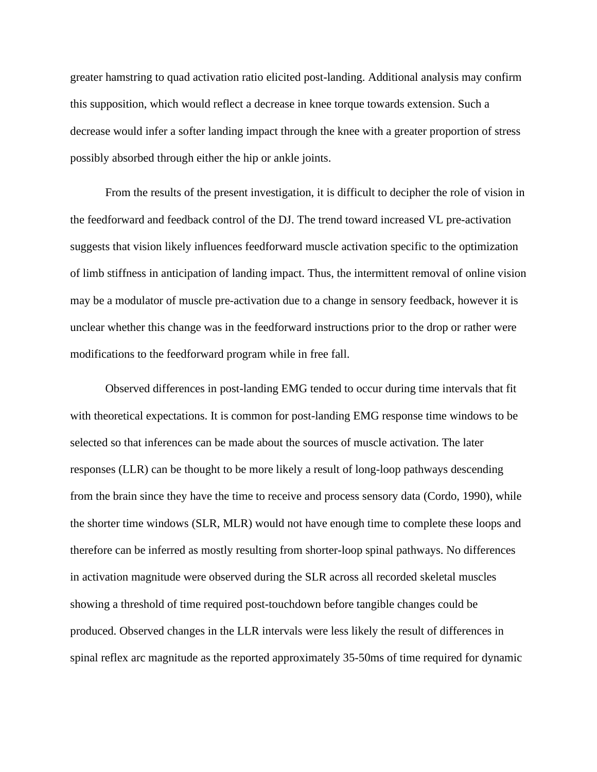greater hamstring to quad activation ratio elicited post-landing. Additional analysis may confirm this supposition, which would reflect a decrease in knee torque towards extension. Such a decrease would infer a softer landing impact through the knee with a greater proportion of stress possibly absorbed through either the hip or ankle joints.

From the results of the present investigation, it is difficult to decipher the role of vision in the feedforward and feedback control of the DJ. The trend toward increased VL pre-activation suggests that vision likely influences feedforward muscle activation specific to the optimization of limb stiffness in anticipation of landing impact. Thus, the intermittent removal of online vision may be a modulator of muscle pre-activation due to a change in sensory feedback, however it is unclear whether this change was in the feedforward instructions prior to the drop or rather were modifications to the feedforward program while in free fall.

Observed differences in post-landing EMG tended to occur during time intervals that fit with theoretical expectations. It is common for post-landing EMG response time windows to be selected so that inferences can be made about the sources of muscle activation. The later responses (LLR) can be thought to be more likely a result of long-loop pathways descending from the brain since they have the time to receive and process sensory data (Cordo, 1990), while the shorter time windows (SLR, MLR) would not have enough time to complete these loops and therefore can be inferred as mostly resulting from shorter-loop spinal pathways. No differences in activation magnitude were observed during the SLR across all recorded skeletal muscles showing a threshold of time required post-touchdown before tangible changes could be produced. Observed changes in the LLR intervals were less likely the result of differences in spinal reflex arc magnitude as the reported approximately 35-50ms of time required for dynamic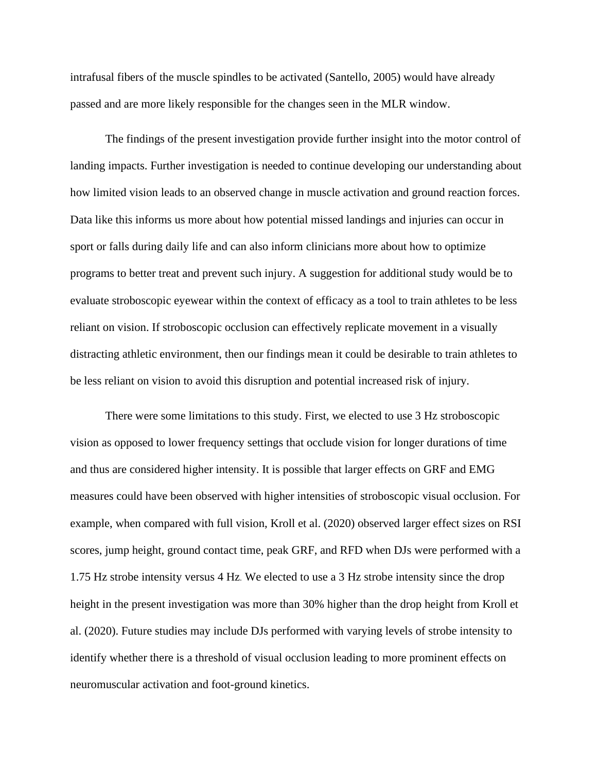intrafusal fibers of the muscle spindles to be activated (Santello, 2005) would have already passed and are more likely responsible for the changes seen in the MLR window.

The findings of the present investigation provide further insight into the motor control of landing impacts. Further investigation is needed to continue developing our understanding about how limited vision leads to an observed change in muscle activation and ground reaction forces. Data like this informs us more about how potential missed landings and injuries can occur in sport or falls during daily life and can also inform clinicians more about how to optimize programs to better treat and prevent such injury. A suggestion for additional study would be to evaluate stroboscopic eyewear within the context of efficacy as a tool to train athletes to be less reliant on vision. If stroboscopic occlusion can effectively replicate movement in a visually distracting athletic environment, then our findings mean it could be desirable to train athletes to be less reliant on vision to avoid this disruption and potential increased risk of injury.

There were some limitations to this study. First, we elected to use 3 Hz stroboscopic vision as opposed to lower frequency settings that occlude vision for longer durations of time and thus are considered higher intensity. It is possible that larger effects on GRF and EMG measures could have been observed with higher intensities of stroboscopic visual occlusion. For example, when compared with full vision, Kroll et al. (2020) observed larger effect sizes on RSI scores, jump height, ground contact time, peak GRF, and RFD when DJs were performed with a 1.75 Hz strobe intensity versus 4 Hz. We elected to use a 3 Hz strobe intensity since the drop height in the present investigation was more than 30% higher than the drop height from Kroll et al. (2020). Future studies may include DJs performed with varying levels of strobe intensity to identify whether there is a threshold of visual occlusion leading to more prominent effects on neuromuscular activation and foot-ground kinetics.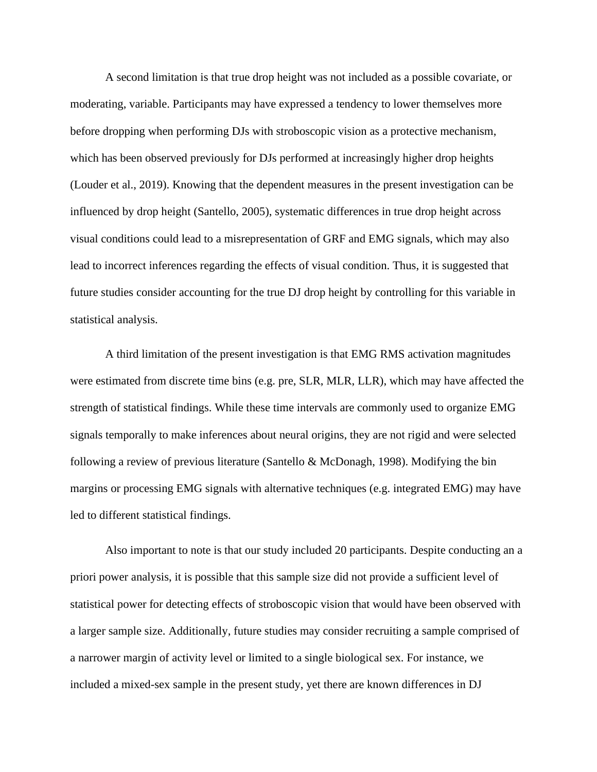A second limitation is that true drop height was not included as a possible covariate, or moderating, variable. Participants may have expressed a tendency to lower themselves more before dropping when performing DJs with stroboscopic vision as a protective mechanism, which has been observed previously for DJs performed at increasingly higher drop heights (Louder et al., 2019). Knowing that the dependent measures in the present investigation can be influenced by drop height (Santello, 2005), systematic differences in true drop height across visual conditions could lead to a misrepresentation of GRF and EMG signals, which may also lead to incorrect inferences regarding the effects of visual condition. Thus, it is suggested that future studies consider accounting for the true DJ drop height by controlling for this variable in statistical analysis.

A third limitation of the present investigation is that EMG RMS activation magnitudes were estimated from discrete time bins (e.g. pre, SLR, MLR, LLR), which may have affected the strength of statistical findings. While these time intervals are commonly used to organize EMG signals temporally to make inferences about neural origins, they are not rigid and were selected following a review of previous literature (Santello & McDonagh, 1998). Modifying the bin margins or processing EMG signals with alternative techniques (e.g. integrated EMG) may have led to different statistical findings.

Also important to note is that our study included 20 participants. Despite conducting an a priori power analysis, it is possible that this sample size did not provide a sufficient level of statistical power for detecting effects of stroboscopic vision that would have been observed with a larger sample size. Additionally, future studies may consider recruiting a sample comprised of a narrower margin of activity level or limited to a single biological sex. For instance, we included a mixed-sex sample in the present study, yet there are known differences in DJ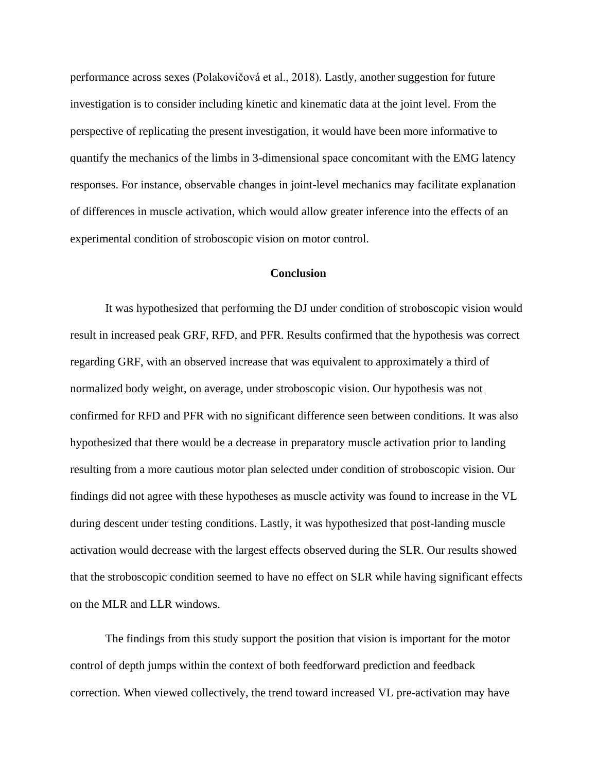performance across sexes (Polakovičová et al., 2018). Lastly, another suggestion for future investigation is to consider including kinetic and kinematic data at the joint level. From the perspective of replicating the present investigation, it would have been more informative to quantify the mechanics of the limbs in 3-dimensional space concomitant with the EMG latency responses. For instance, observable changes in joint-level mechanics may facilitate explanation of differences in muscle activation, which would allow greater inference into the effects of an experimental condition of stroboscopic vision on motor control.

#### **Conclusion**

It was hypothesized that performing the DJ under condition of stroboscopic vision would result in increased peak GRF, RFD, and PFR. Results confirmed that the hypothesis was correct regarding GRF, with an observed increase that was equivalent to approximately a third of normalized body weight, on average, under stroboscopic vision. Our hypothesis was not confirmed for RFD and PFR with no significant difference seen between conditions. It was also hypothesized that there would be a decrease in preparatory muscle activation prior to landing resulting from a more cautious motor plan selected under condition of stroboscopic vision. Our findings did not agree with these hypotheses as muscle activity was found to increase in the VL during descent under testing conditions. Lastly, it was hypothesized that post-landing muscle activation would decrease with the largest effects observed during the SLR. Our results showed that the stroboscopic condition seemed to have no effect on SLR while having significant effects on the MLR and LLR windows.

The findings from this study support the position that vision is important for the motor control of depth jumps within the context of both feedforward prediction and feedback correction. When viewed collectively, the trend toward increased VL pre-activation may have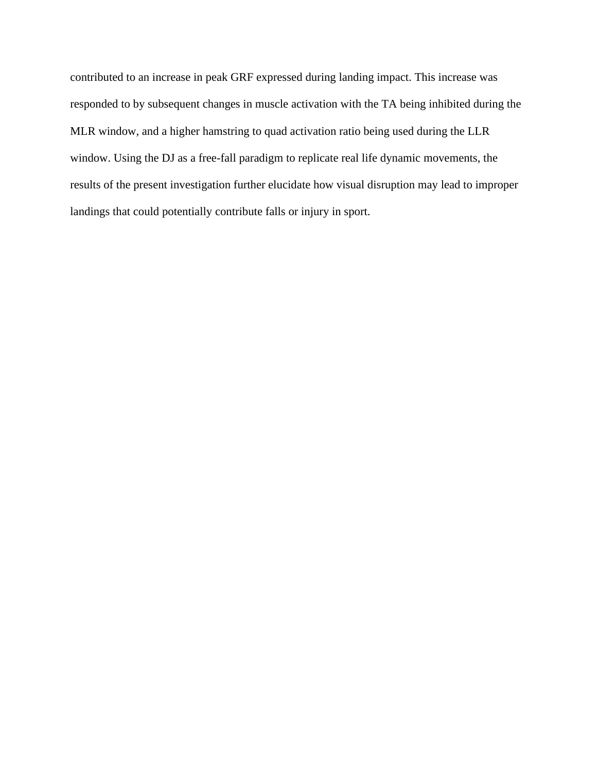contributed to an increase in peak GRF expressed during landing impact. This increase was responded to by subsequent changes in muscle activation with the TA being inhibited during the MLR window, and a higher hamstring to quad activation ratio being used during the LLR window. Using the DJ as a free-fall paradigm to replicate real life dynamic movements, the results of the present investigation further elucidate how visual disruption may lead to improper landings that could potentially contribute falls or injury in sport.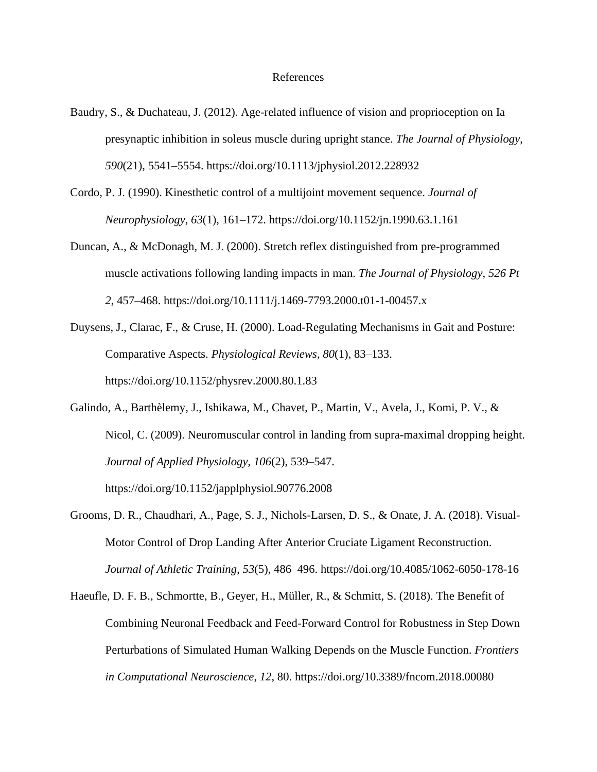#### References

- Baudry, S., & Duchateau, J. (2012). Age-related influence of vision and proprioception on Ia presynaptic inhibition in soleus muscle during upright stance. *The Journal of Physiology*, *590*(21), 5541–5554. https://doi.org/10.1113/jphysiol.2012.228932
- Cordo, P. J. (1990). Kinesthetic control of a multijoint movement sequence. *Journal of Neurophysiology*, *63*(1), 161–172. https://doi.org/10.1152/jn.1990.63.1.161
- Duncan, A., & McDonagh, M. J. (2000). Stretch reflex distinguished from pre-programmed muscle activations following landing impacts in man. *The Journal of Physiology*, *526 Pt 2*, 457–468. https://doi.org/10.1111/j.1469-7793.2000.t01-1-00457.x
- Duysens, J., Clarac, F., & Cruse, H. (2000). Load-Regulating Mechanisms in Gait and Posture: Comparative Aspects. *Physiological Reviews*, *80*(1), 83–133. https://doi.org/10.1152/physrev.2000.80.1.83
- Galindo, A., Barthèlemy, J., Ishikawa, M., Chavet, P., Martin, V., Avela, J., Komi, P. V., & Nicol, C. (2009). Neuromuscular control in landing from supra-maximal dropping height. *Journal of Applied Physiology*, *106*(2), 539–547.
- Grooms, D. R., Chaudhari, A., Page, S. J., Nichols-Larsen, D. S., & Onate, J. A. (2018). Visual-Motor Control of Drop Landing After Anterior Cruciate Ligament Reconstruction. *Journal of Athletic Training*, *53*(5), 486–496. https://doi.org/10.4085/1062-6050-178-16

https://doi.org/10.1152/japplphysiol.90776.2008

Haeufle, D. F. B., Schmortte, B., Geyer, H., Müller, R., & Schmitt, S. (2018). The Benefit of Combining Neuronal Feedback and Feed-Forward Control for Robustness in Step Down Perturbations of Simulated Human Walking Depends on the Muscle Function. *Frontiers in Computational Neuroscience*, *12*, 80. https://doi.org/10.3389/fncom.2018.00080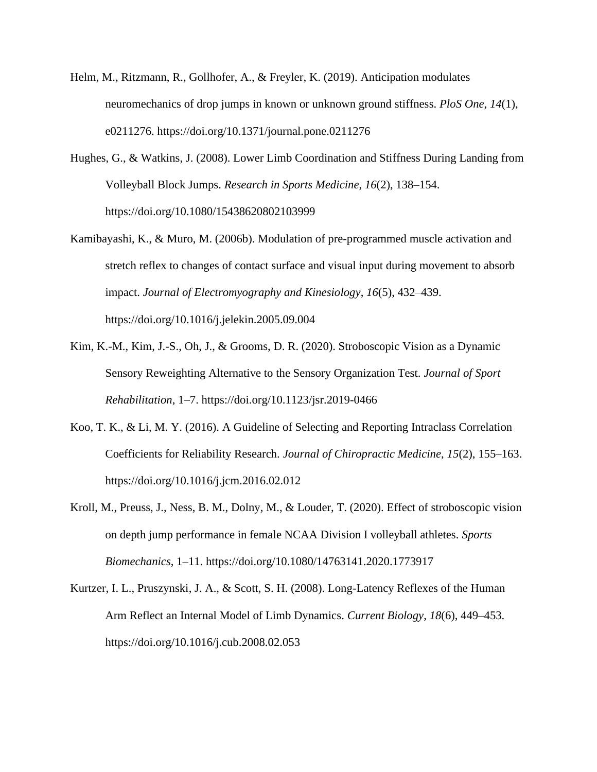- Helm, M., Ritzmann, R., Gollhofer, A., & Freyler, K. (2019). Anticipation modulates neuromechanics of drop jumps in known or unknown ground stiffness. *PloS One*, *14*(1), e0211276. https://doi.org/10.1371/journal.pone.0211276
- Hughes, G., & Watkins, J. (2008). Lower Limb Coordination and Stiffness During Landing from Volleyball Block Jumps. *Research in Sports Medicine*, *16*(2), 138–154. https://doi.org/10.1080/15438620802103999
- Kamibayashi, K., & Muro, M. (2006b). Modulation of pre-programmed muscle activation and stretch reflex to changes of contact surface and visual input during movement to absorb impact. *Journal of Electromyography and Kinesiology*, *16*(5), 432–439. https://doi.org/10.1016/j.jelekin.2005.09.004
- Kim, K.-M., Kim, J.-S., Oh, J., & Grooms, D. R. (2020). Stroboscopic Vision as a Dynamic Sensory Reweighting Alternative to the Sensory Organization Test. *Journal of Sport Rehabilitation*, 1–7. https://doi.org/10.1123/jsr.2019-0466
- Koo, T. K., & Li, M. Y. (2016). A Guideline of Selecting and Reporting Intraclass Correlation Coefficients for Reliability Research. *Journal of Chiropractic Medicine*, *15*(2), 155–163. https://doi.org/10.1016/j.jcm.2016.02.012
- Kroll, M., Preuss, J., Ness, B. M., Dolny, M., & Louder, T. (2020). Effect of stroboscopic vision on depth jump performance in female NCAA Division I volleyball athletes. *Sports Biomechanics*, 1–11. https://doi.org/10.1080/14763141.2020.1773917
- Kurtzer, I. L., Pruszynski, J. A., & Scott, S. H. (2008). Long-Latency Reflexes of the Human Arm Reflect an Internal Model of Limb Dynamics. *Current Biology*, *18*(6), 449–453. https://doi.org/10.1016/j.cub.2008.02.053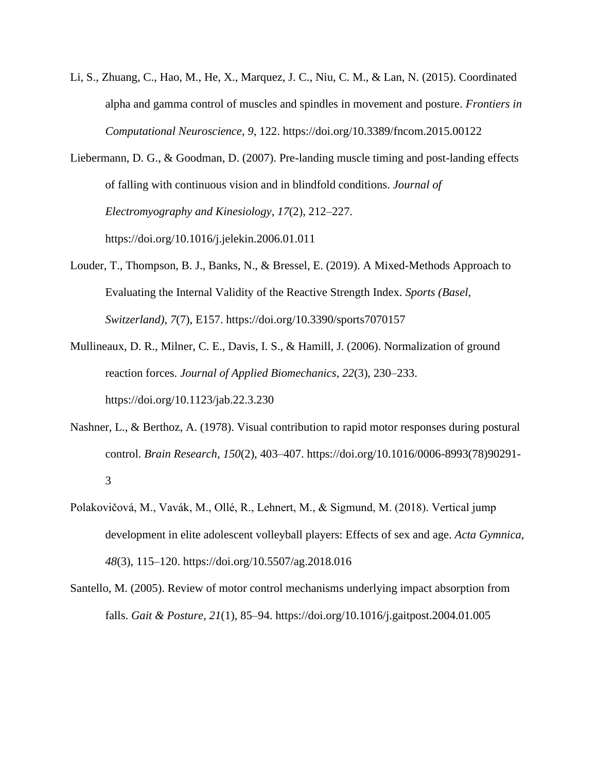- Li, S., Zhuang, C., Hao, M., He, X., Marquez, J. C., Niu, C. M., & Lan, N. (2015). Coordinated alpha and gamma control of muscles and spindles in movement and posture. *Frontiers in Computational Neuroscience*, *9*, 122. https://doi.org/10.3389/fncom.2015.00122
- Liebermann, D. G., & Goodman, D. (2007). Pre-landing muscle timing and post-landing effects of falling with continuous vision and in blindfold conditions. *Journal of Electromyography and Kinesiology*, *17*(2), 212–227. https://doi.org/10.1016/j.jelekin.2006.01.011
- Louder, T., Thompson, B. J., Banks, N., & Bressel, E. (2019). A Mixed-Methods Approach to Evaluating the Internal Validity of the Reactive Strength Index. *Sports (Basel, Switzerland)*, *7*(7), E157. https://doi.org/10.3390/sports7070157
- Mullineaux, D. R., Milner, C. E., Davis, I. S., & Hamill, J. (2006). Normalization of ground reaction forces. *Journal of Applied Biomechanics*, *22*(3), 230–233. https://doi.org/10.1123/jab.22.3.230
- Nashner, L., & Berthoz, A. (1978). Visual contribution to rapid motor responses during postural control. *Brain Research*, *150*(2), 403–407. https://doi.org/10.1016/0006-8993(78)90291- 3
- Polakovičová, M., Vavák, M., Ollé, R., Lehnert, M., & Sigmund, M. (2018). Vertical jump development in elite adolescent volleyball players: Effects of sex and age. *Acta Gymnica*, *48*(3), 115–120. https://doi.org/10.5507/ag.2018.016
- Santello, M. (2005). Review of motor control mechanisms underlying impact absorption from falls. *Gait & Posture*, *21*(1), 85–94. https://doi.org/10.1016/j.gaitpost.2004.01.005